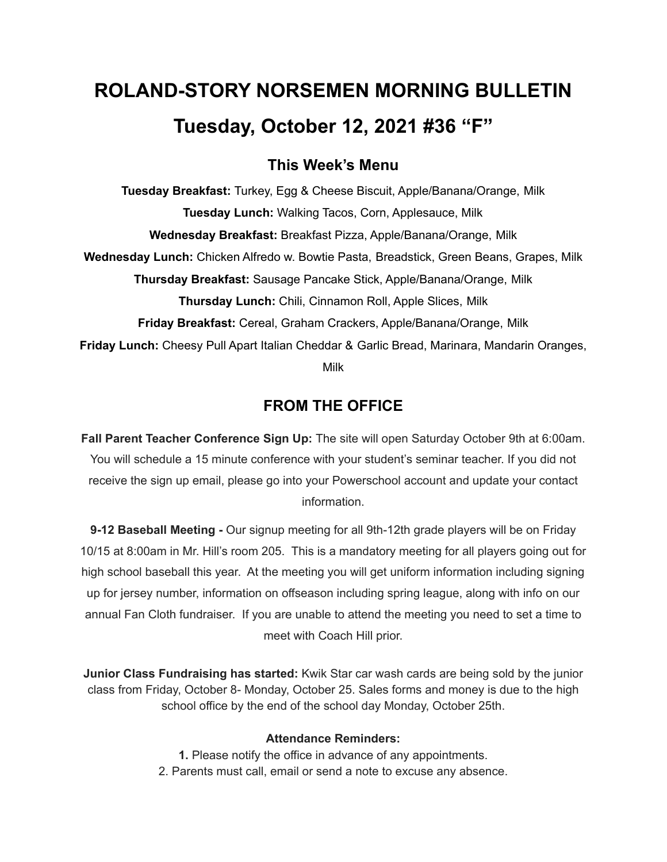# **ROLAND-STORY NORSEMEN MORNING BULLETIN Tuesday, October 12, 2021 #36 "F"**

# **This Week's Menu**

**Tuesday Breakfast:** Turkey, Egg & Cheese Biscuit, Apple/Banana/Orange, Milk **Tuesday Lunch:** Walking Tacos, Corn, Applesauce, Milk **Wednesday Breakfast:** Breakfast Pizza, Apple/Banana/Orange, Milk **Wednesday Lunch:** Chicken Alfredo w. Bowtie Pasta, Breadstick, Green Beans, Grapes, Milk **Thursday Breakfast:** Sausage Pancake Stick, Apple/Banana/Orange, Milk **Thursday Lunch:** Chili, Cinnamon Roll, Apple Slices, Milk **Friday Breakfast:** Cereal, Graham Crackers, Apple/Banana/Orange, Milk **Friday Lunch:** Cheesy Pull Apart Italian Cheddar & Garlic Bread, Marinara, Mandarin Oranges, Milk

# **FROM THE OFFICE**

**Fall Parent Teacher Conference Sign Up:** The site will open Saturday October 9th at 6:00am. You will schedule a 15 minute conference with your student's seminar teacher. If you did not receive the sign up email, please go into your Powerschool account and update your contact information.

**9-12 Baseball Meeting -** Our signup meeting for all 9th-12th grade players will be on Friday 10/15 at 8:00am in Mr. Hill's room 205. This is a mandatory meeting for all players going out for high school baseball this year. At the meeting you will get uniform information including signing up for jersey number, information on offseason including spring league, along with info on our annual Fan Cloth fundraiser. If you are unable to attend the meeting you need to set a time to meet with Coach Hill prior.

**Junior Class Fundraising has started:** Kwik Star car wash cards are being sold by the junior class from Friday, October 8- Monday, October 25. Sales forms and money is due to the high school office by the end of the school day Monday, October 25th.

### **Attendance Reminders:**

**1.** Please notify the office in advance of any appointments. 2. Parents must call, email or send a note to excuse any absence.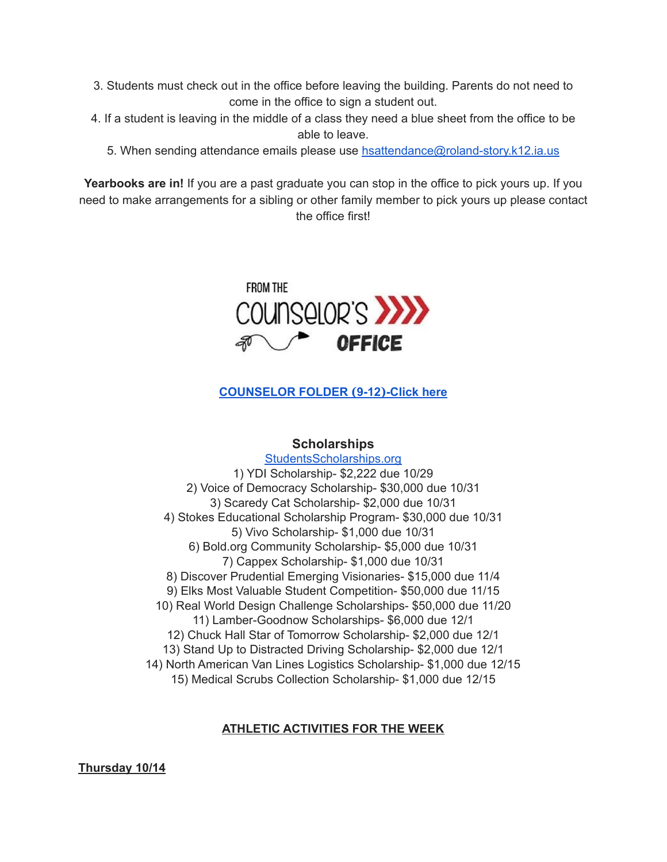- 3. Students must check out in the office before leaving the building. Parents do not need to come in the office to sign a student out.
- 4. If a student is leaving in the middle of a class they need a blue sheet from the office to be able to leave.
	- 5. When sending attendance emails please use [hsattendance@roland-story.k12.ia.us](mailto:hsattendance@roland-story.k12.ia.us)

**Yearbooks are in!** If you are a past graduate you can stop in the office to pick yours up. If you need to make arrangements for a sibling or other family member to pick yours up please contact the office first!



# **[COUNSELOR](https://docs.google.com/document/d/1vmwczNPbDzXe9vFaG5LJMQ7NYDv-i4oQJHybqA65TUc/edit?usp=sharing) FOLDER (9-12)-Click here**

## **Scholarships**

[StudentsScholarships.org](https://drive.google.com/file/d/1qbbp7lqeWGlW0ouOHrSolpv8U_P4g6cU/view) 1) YDI Scholarship- \$2,222 due 10/29 2) Voice of Democracy Scholarship- \$30,000 due 10/31 3) Scaredy Cat Scholarship- \$2,000 due 10/31 4) Stokes Educational Scholarship Program- \$30,000 due 10/31 5) Vivo Scholarship- \$1,000 due 10/31 6) Bold.org Community Scholarship- \$5,000 due 10/31 7) Cappex Scholarship- \$1,000 due 10/31 8) Discover Prudential Emerging Visionaries- \$15,000 due 11/4 9) Elks Most Valuable Student Competition- \$50,000 due 11/15 10) Real World Design Challenge Scholarships- \$50,000 due 11/20 11) Lamber-Goodnow Scholarships- \$6,000 due 12/1 12) Chuck Hall Star of Tomorrow Scholarship- \$2,000 due 12/1 13) Stand Up to Distracted Driving Scholarship- \$2,000 due 12/1 14) North American Van Lines Logistics Scholarship- \$1,000 due 12/15 15) Medical Scrubs Collection Scholarship- \$1,000 due 12/15

### **ATHLETIC ACTIVITIES FOR THE WEEK**

**Thursday 10/14**